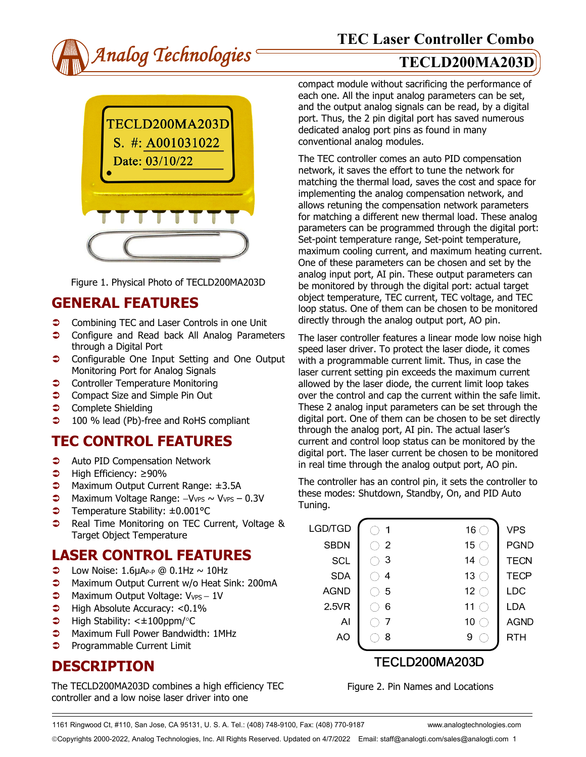



Figure 1. Physical Photo of TECLD200MA203D

## **GENERAL FEATURES**

- **Combining TEC and Laser Controls in one Unit**
- **Configure and Read back All Analog Parameters** through a Digital Port
- **Configurable One Input Setting and One Output** Monitoring Port for Analog Signals
- **Controller Temperature Monitoring**
- **◯** Compact Size and Simple Pin Out
- **Complete Shielding**
- **→** 100 % lead (Pb)-free and RoHS compliant

# **TEC CONTROL FEATURES**

- **C** Auto PID Compensation Network
- High Efficiency: ≥90%
- Maximum Output Current Range: ±3.5A
- Maximum Voltage Range: −VVPS ~ VVPS 0.3V
- Temperature Stability: ±0.001°C
- **●** Real Time Monitoring on TEC Current, Voltage & Target Object Temperature

### **LASER CONTROL FEATURES**

- $\bullet$  Low Noise: 1.6µAP-P @ 0.1Hz ~ 10Hz
- **C** Maximum Output Current w/o Heat Sink: 200mA
- → Maximum Output Voltage: V<sub>VPS</sub> 1V
- $\blacktriangleright$  High Absolute Accuracy: <0.1%
- $\blacktriangleright$  High Stability: < $\pm$ 100ppm/°C
- **C** Maximum Full Power Bandwidth: 1MHz
- **Programmable Current Limit**

# **DESCRIPTION**

The TECLD200MA203D combines a high efficiency TEC controller and a low noise laser driver into one

compact module without sacrificing the performance of each one. All the input analog parameters can be set, and the output analog signals can be read, by a digital port. Thus, the 2 pin digital port has saved numerous dedicated analog port pins as found in many conventional analog modules.

The TEC controller comes an auto PID compensation network, it saves the effort to tune the network for matching the thermal load, saves the cost and space for implementing the analog compensation network, and allows retuning the compensation network parameters for matching a different new thermal load. These analog parameters can be programmed through the digital port: Set-point temperature range, Set-point temperature, maximum cooling current, and maximum heating current. One of these parameters can be chosen and set by the analog input port, AI pin. These output parameters can be monitored by through the digital port: actual target object temperature, TEC current, TEC voltage, and TEC loop status. One of them can be chosen to be monitored directly through the analog output port, AO pin.

The laser controller features a linear mode low noise high speed laser driver. To protect the laser diode, it comes with a programmable current limit. Thus, in case the laser current setting pin exceeds the maximum current allowed by the laser diode, the current limit loop takes over the control and cap the current within the safe limit. These 2 analog input parameters can be set through the digital port. One of them can be chosen to be set directly through the analog port, AI pin. The actual laser's current and control loop status can be monitored by the digital port. The laser current be chosen to be monitored in real time through the analog output port, AO pin.

The controller has an control pin, it sets the controller to these modes: Shutdown, Standby, On, and PID Auto Tuning.

| LGD/TGD     |   | 16 $\subset$    | <b>VPS</b>  |  |  |
|-------------|---|-----------------|-------------|--|--|
| <b>SBDN</b> | 2 | 15              | <b>PGND</b> |  |  |
| SCL         | 3 | 14              | <b>TECN</b> |  |  |
| <b>SDA</b>  | 4 | 13              | <b>TECP</b> |  |  |
| <b>AGND</b> | 5 | 12 <sub>2</sub> | <b>LDC</b>  |  |  |
| 2.5VR       | 6 | 11              | LDA         |  |  |
| Al          |   | 10<br>h.        | <b>AGND</b> |  |  |
| AO          | 8 | 9               | RTH         |  |  |
|             |   | TECLD200MA203D  |             |  |  |
|             |   |                 |             |  |  |

Figure 2. Pin Names and Locations

1161 Ringwood Ct, #110, San Jose, CA 95131, U. S. A. Tel.: (408) 748-9100, Fax: (408) 770-9187 www.analogtechnologies.com

Copyrights 2000-2022, Analog Technologies, Inc. All Rights Reserved. Updated on 4/7/2022 Email: staff@analogti.com/sales@analogti.com 1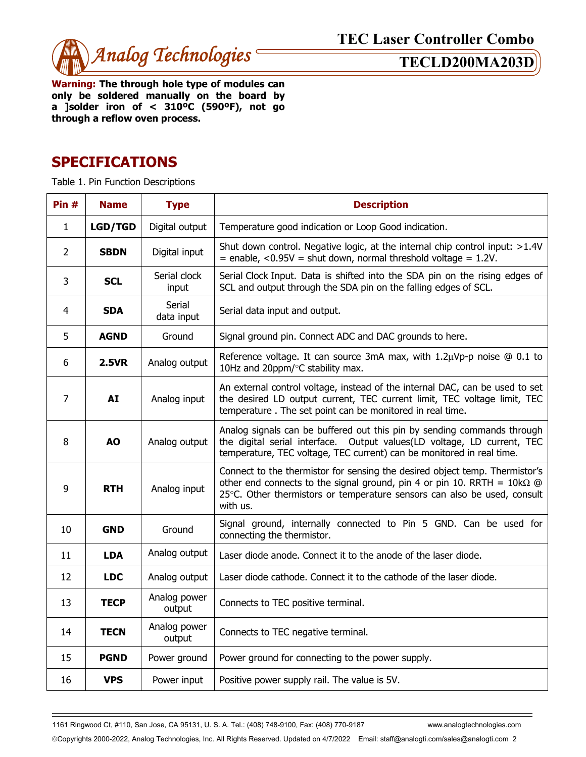

**Warning: The through hole type of modules can only be soldered manually on the board by a ]solder iron of < 310ºC (590ºF), not go through a reflow oven process.** 

## **SPECIFICATIONS**

Table 1. Pin Function Descriptions

| Pin $#$        | <b>Name</b>    | <b>Type</b>            | <b>Description</b>                                                                                                                                                                                                                                    |  |  |
|----------------|----------------|------------------------|-------------------------------------------------------------------------------------------------------------------------------------------------------------------------------------------------------------------------------------------------------|--|--|
| $\mathbf{1}$   | <b>LGD/TGD</b> | Digital output         | Temperature good indication or Loop Good indication.                                                                                                                                                                                                  |  |  |
| $\overline{2}$ | <b>SBDN</b>    | Digital input          | Shut down control. Negative logic, at the internal chip control input: >1.4V<br>$=$ enable, <0.95V = shut down, normal threshold voltage = 1.2V.                                                                                                      |  |  |
| 3              | <b>SCL</b>     | Serial clock<br>input  | Serial Clock Input. Data is shifted into the SDA pin on the rising edges of<br>SCL and output through the SDA pin on the falling edges of SCL.                                                                                                        |  |  |
| 4              | <b>SDA</b>     | Serial<br>data input   | Serial data input and output.                                                                                                                                                                                                                         |  |  |
| 5              | <b>AGND</b>    | Ground                 | Signal ground pin. Connect ADC and DAC grounds to here.                                                                                                                                                                                               |  |  |
| 6              | <b>2.5VR</b>   | Analog output          | Reference voltage. It can source 3mA max, with $1.2\mu Vp-p$ noise $@0.1$ to<br>10Hz and 20ppm/°C stability max.                                                                                                                                      |  |  |
| $\overline{7}$ | <b>AI</b>      | Analog input           | An external control voltage, instead of the internal DAC, can be used to set<br>the desired LD output current, TEC current limit, TEC voltage limit, TEC<br>temperature. The set point can be monitored in real time.                                 |  |  |
| 8              | <b>AO</b>      | Analog output          | Analog signals can be buffered out this pin by sending commands through<br>the digital serial interface. Output values(LD voltage, LD current, TEC<br>temperature, TEC voltage, TEC current) can be monitored in real time.                           |  |  |
| 9              | <b>RTH</b>     | Analog input           | Connect to the thermistor for sensing the desired object temp. Thermistor's<br>other end connects to the signal ground, pin 4 or pin 10. RRTH = $10k\Omega$ @<br>25°C. Other thermistors or temperature sensors can also be used, consult<br>with us. |  |  |
| 10             | <b>GND</b>     | Ground                 | Signal ground, internally connected to Pin 5 GND. Can be used for<br>connecting the thermistor.                                                                                                                                                       |  |  |
| 11             | <b>LDA</b>     | Analog output          | Laser diode anode. Connect it to the anode of the laser diode.                                                                                                                                                                                        |  |  |
| 12             | <b>LDC</b>     | Analog output          | Laser diode cathode. Connect it to the cathode of the laser diode.                                                                                                                                                                                    |  |  |
| 13             | <b>TECP</b>    | Analog power<br>output | Connects to TEC positive terminal.                                                                                                                                                                                                                    |  |  |
| 14             | <b>TECN</b>    | Analog power<br>output | Connects to TEC negative terminal.                                                                                                                                                                                                                    |  |  |
| 15             | <b>PGND</b>    | Power ground           | Power ground for connecting to the power supply.                                                                                                                                                                                                      |  |  |
| 16             | <b>VPS</b>     | Power input            | Positive power supply rail. The value is 5V.                                                                                                                                                                                                          |  |  |

1161 Ringwood Ct, #110, San Jose, CA 95131, U. S. A. Tel.: (408) 748-9100, Fax: (408) 770-9187 www.analogtechnologies.com

Copyrights 2000-2022, Analog Technologies, Inc. All Rights Reserved. Updated on 4/7/2022 Email: staff@analogti.com/sales@analogti.com 2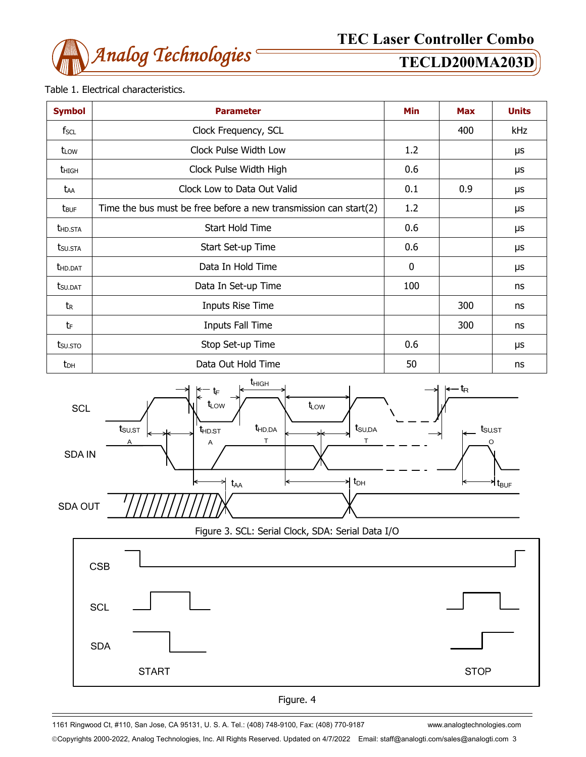

### Table 1. Electrical characteristics.

| <b>Symbol</b>           | <b>Parameter</b>                                                 |             | <b>Max</b> | <b>Units</b> |
|-------------------------|------------------------------------------------------------------|-------------|------------|--------------|
| fscl                    | Clock Frequency, SCL                                             |             | 400        | kHz          |
| t <sub>LOW</sub>        | Clock Pulse Width Low                                            | 1.2         |            | μs           |
| <b>t</b> high           | Clock Pulse Width High                                           | 0.6         |            | μs           |
| taa                     | Clock Low to Data Out Valid                                      | 0.1         | 0.9        | μs           |
| <b>t</b> <sub>BUF</sub> | Time the bus must be free before a new transmission can start(2) | 1.2         |            | μs           |
| <b>THD.STA</b>          | Start Hold Time                                                  | 0.6         |            | μs           |
| tsu.sta                 | Start Set-up Time                                                | 0.6         |            | μs           |
| <b>t</b> HD.DAT         | Data In Hold Time                                                | $\mathbf 0$ |            | μs           |
| <b>t</b> su.dat         | Data In Set-up Time                                              | 100         |            | ns           |
| tr                      | <b>Inputs Rise Time</b>                                          |             | 300        | ns           |
| tF                      | Inputs Fall Time                                                 |             | 300        | ns           |
| tsu.sto                 | Stop Set-up Time                                                 | 0.6         |            | μs           |
| t <sub>DH</sub>         | Data Out Hold Time                                               | 50          |            | ns           |



Figure 3. SCL: Serial Clock, SDA: Serial Data I/O





1161 Ringwood Ct, #110, San Jose, CA 95131, U. S. A. Tel.: (408) 748-9100, Fax: (408) 770-9187 www.analogtechnologies.com

Copyrights 2000-2022, Analog Technologies, Inc. All Rights Reserved. Updated on 4/7/2022 Email: staff@analogti.com/sales@analogti.com 3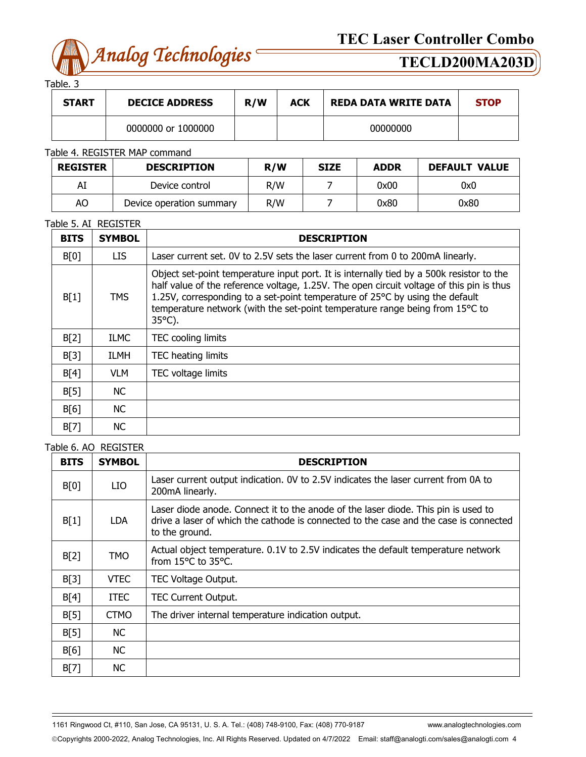

Table. 3

| .            |                       |     |            |                             |             |
|--------------|-----------------------|-----|------------|-----------------------------|-------------|
| <b>START</b> | <b>DECICE ADDRESS</b> | R/W | <b>ACK</b> | <b>REDA DATA WRITE DATA</b> | <b>STOP</b> |
|              | 0000000 or 1000000    |     |            | 00000000                    |             |

### Table 4. REGISTER MAP command

| <b>REGISTER</b>                | <b>DESCRIPTION</b> | R/W | <b>SIZE</b> | <b>ADDR</b> | <b>DEFAULT VALUE</b> |
|--------------------------------|--------------------|-----|-------------|-------------|----------------------|
| Al                             | Device control     | R/W |             | 0x00        | 0x0                  |
| AO<br>Device operation summary |                    | R/W |             | 0x80        | 0x80                 |

### Table 5. AI REGISTER

| <b>BITS</b> | <b>SYMBOL</b> | <b>DESCRIPTION</b>                                                                                                                                                                                                                                                                                                                                                       |
|-------------|---------------|--------------------------------------------------------------------------------------------------------------------------------------------------------------------------------------------------------------------------------------------------------------------------------------------------------------------------------------------------------------------------|
| B[0]        | LIS.          | Laser current set. 0V to 2.5V sets the laser current from 0 to 200mA linearly.                                                                                                                                                                                                                                                                                           |
| B[1]        | <b>TMS</b>    | Object set-point temperature input port. It is internally tied by a 500k resistor to the<br>half value of the reference voltage, 1.25V. The open circuit voltage of this pin is thus<br>1.25V, corresponding to a set-point temperature of 25°C by using the default<br>temperature network (with the set-point temperature range being from 15°C to<br>$35^{\circ}$ C). |
| B[2]        | <b>ILMC</b>   | <b>TEC</b> cooling limits                                                                                                                                                                                                                                                                                                                                                |
| B[3]        | <b>ILMH</b>   | TEC heating limits                                                                                                                                                                                                                                                                                                                                                       |
| B[4]        | VLM.          | TEC voltage limits                                                                                                                                                                                                                                                                                                                                                       |
| B[5]        | NC.           |                                                                                                                                                                                                                                                                                                                                                                          |
| B[6]        | NC.           |                                                                                                                                                                                                                                                                                                                                                                          |
| B[7]        | <b>NC</b>     |                                                                                                                                                                                                                                                                                                                                                                          |

### Table 6. AO REGISTER

| <b>BITS</b> | <b>SYMBOL</b> | <b>DESCRIPTION</b>                                                                                                                                                                            |
|-------------|---------------|-----------------------------------------------------------------------------------------------------------------------------------------------------------------------------------------------|
| B[0]        | LIO           | Laser current output indication. OV to 2.5V indicates the laser current from 0A to<br>200mA linearly.                                                                                         |
| B[1]        | <b>LDA</b>    | Laser diode anode. Connect it to the anode of the laser diode. This pin is used to<br>drive a laser of which the cathode is connected to the case and the case is connected<br>to the ground. |
| B[2]        | <b>TMO</b>    | Actual object temperature. 0.1V to 2.5V indicates the default temperature network<br>from 15°C to 35°C.                                                                                       |
| B[3]        | <b>VTEC</b>   | TEC Voltage Output.                                                                                                                                                                           |
| B[4]        | <b>ITEC</b>   | <b>TEC Current Output.</b>                                                                                                                                                                    |
| B[5]        | <b>CTMO</b>   | The driver internal temperature indication output.                                                                                                                                            |
| B[5]        | <b>NC</b>     |                                                                                                                                                                                               |
| B[6]        | <b>NC</b>     |                                                                                                                                                                                               |
| B[7]        | <b>NC</b>     |                                                                                                                                                                                               |

1161 Ringwood Ct, #110, San Jose, CA 95131, U. S. A. Tel.: (408) 748-9100, Fax: (408) 770-9187 www.analogtechnologies.com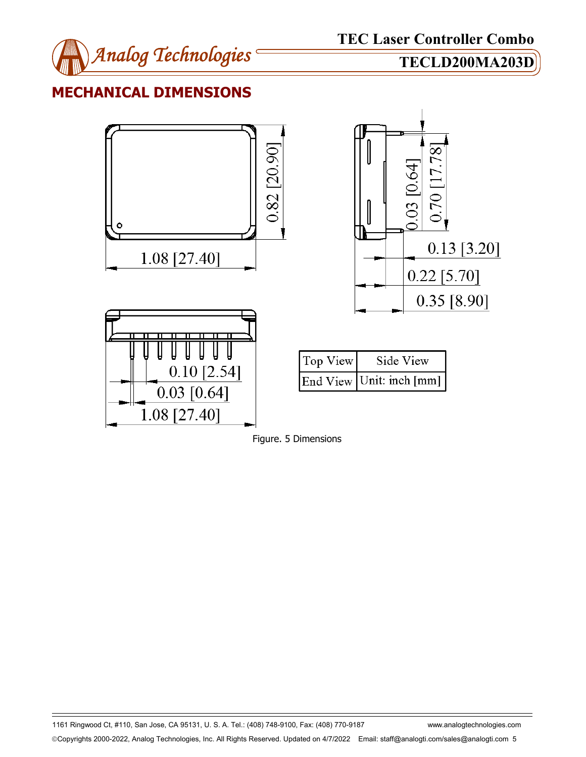

## **MECHANICAL DIMENSIONS**





1161 Ringwood Ct, #110, San Jose, CA 95131, U. S. A. Tel.: (408) 748-9100, Fax: (408) 770-9187 www.analogtechnologies.com Copyrights 2000-2022, Analog Technologies, Inc. All Rights Reserved. Updated on 4/7/2022 Email: staff@analogti.com/sales@analogti.com 5